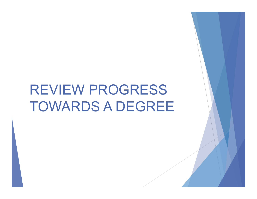# REVIEW PROGRESS TOWARDS A DEGREE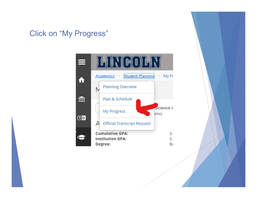## Click on "My Progress"

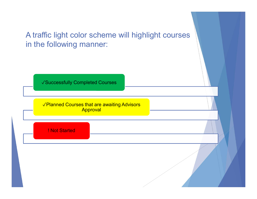## A traffic light color scheme will highlight courses in the following manner:

✓Successfully Completed Courses

✓Planned Courses that are awaiting Advisors **Approval** 

! Not Started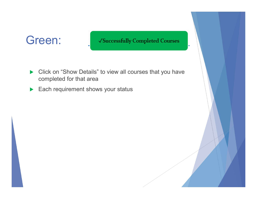## Green:

### √Successfully Completed Courses

- ▶ Click on "Show Details" to view all courses that you have completed for that area
- Each requirement shows your status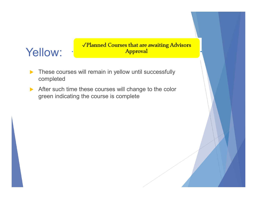### Yellow: √Planned Courses that are awaiting Advisors<br>
Yellow: ∴ Approval Approval

- These courses will remain in yellow until successfully completed
- After such time these courses will change to the color green indicating the course is complete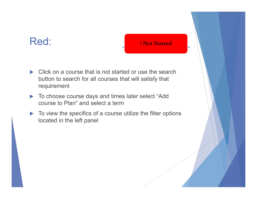## Red:

### ! Not Started

- ▶ Click on a course that is not started or use the search button to search for all courses that will satisfy that requirement
- ▶ To choose course days and times later select "Add course to Plan" and select a term
- $\blacktriangleright$  To view the specifics of a course utilize the filter options located in the left panel